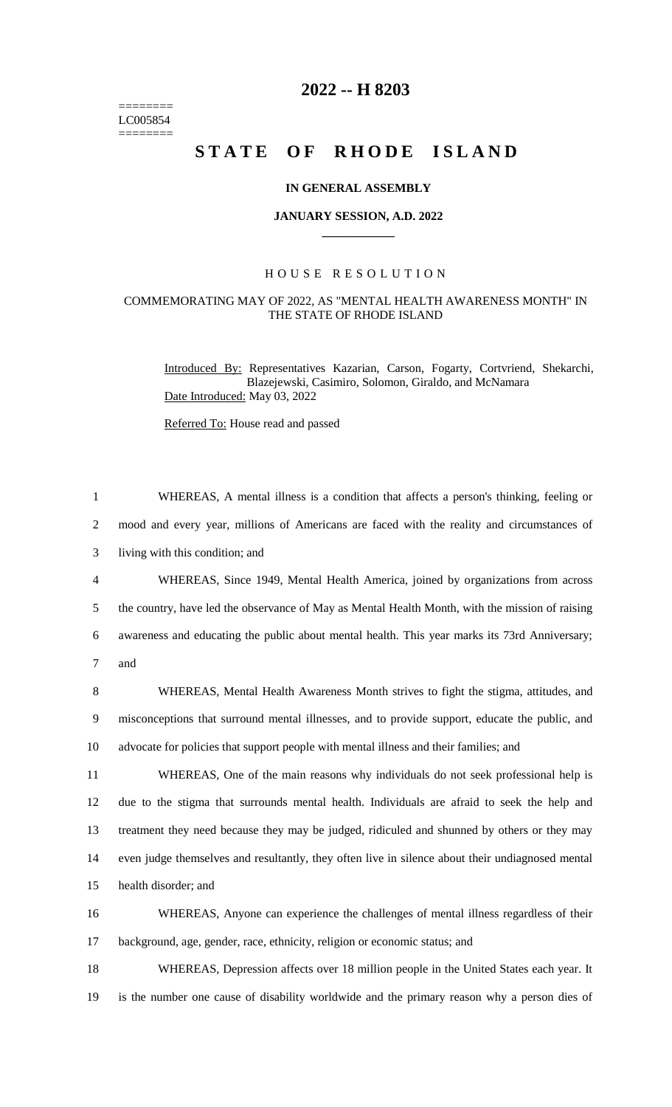======== LC005854  $=$ 

## **2022 -- H 8203**

# **STATE OF RHODE ISLAND**

### **IN GENERAL ASSEMBLY**

### **JANUARY SESSION, A.D. 2022 \_\_\_\_\_\_\_\_\_\_\_\_**

#### H O U S E R E S O L U T I O N

### COMMEMORATING MAY OF 2022, AS "MENTAL HEALTH AWARENESS MONTH" IN THE STATE OF RHODE ISLAND

Introduced By: Representatives Kazarian, Carson, Fogarty, Cortvriend, Shekarchi, Blazejewski, Casimiro, Solomon, Giraldo, and McNamara Date Introduced: May 03, 2022

Referred To: House read and passed

| $\mathbf{1}$   | WHEREAS, A mental illness is a condition that affects a person's thinking, feeling or            |
|----------------|--------------------------------------------------------------------------------------------------|
| $\overline{2}$ | mood and every year, millions of Americans are faced with the reality and circumstances of       |
| 3              | living with this condition; and                                                                  |
| 4              | WHEREAS, Since 1949, Mental Health America, joined by organizations from across                  |
| 5              | the country, have led the observance of May as Mental Health Month, with the mission of raising  |
| 6              | awareness and educating the public about mental health. This year marks its 73rd Anniversary;    |
| $\overline{7}$ | and                                                                                              |
| 8              | WHEREAS, Mental Health Awareness Month strives to fight the stigma, attitudes, and               |
| 9              | misconceptions that surround mental illnesses, and to provide support, educate the public, and   |
| 10             | advocate for policies that support people with mental illness and their families; and            |
| 11             | WHEREAS, One of the main reasons why individuals do not seek professional help is                |
| 12             | due to the stigma that surrounds mental health. Individuals are afraid to seek the help and      |
| 13             | treatment they need because they may be judged, ridiculed and shunned by others or they may      |
| 14             | even judge themselves and resultantly, they often live in silence about their undiagnosed mental |
| 15             | health disorder; and                                                                             |
| 16             | WHEREAS, Anyone can experience the challenges of mental illness regardless of their              |
| 17             | background, age, gender, race, ethnicity, religion or economic status; and                       |
|                |                                                                                                  |

18 WHEREAS, Depression affects over 18 million people in the United States each year. It 19 is the number one cause of disability worldwide and the primary reason why a person dies of